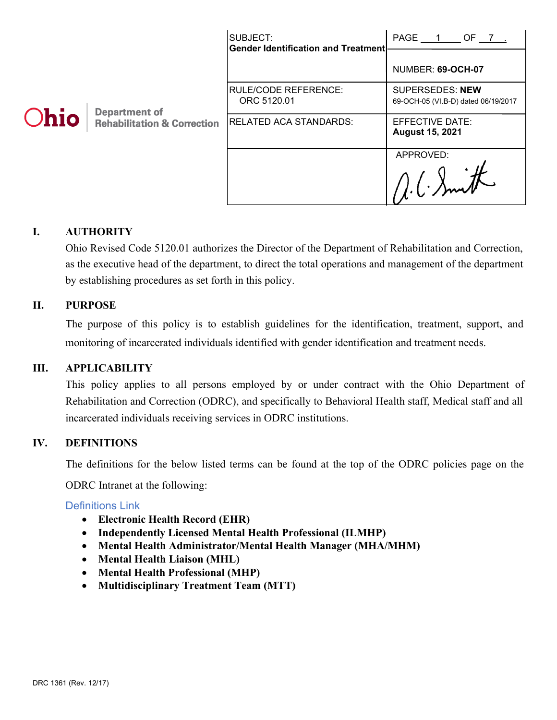|      |                                                                | SUBJECT:<br><b>Gender Identification and Treatment</b> | PAGE 1<br>OF 7.                                               |
|------|----------------------------------------------------------------|--------------------------------------------------------|---------------------------------------------------------------|
| Ohio | <b>Department of</b><br><b>Rehabilitation &amp; Correction</b> |                                                        | NUMBER: 69-OCH-07                                             |
|      |                                                                | RULE/CODE REFERENCE:<br>ORC 5120.01                    | <b>SUPERSEDES: NEW</b><br>69-OCH-05 (VI.B-D) dated 06/19/2017 |
|      |                                                                | RELATED ACA STANDARDS:                                 | EFFECTIVE DATE:<br><b>August 15, 2021</b>                     |
|      |                                                                |                                                        | APPROVED:                                                     |
|      |                                                                |                                                        |                                                               |

## **I. AUTHORITY**

Ohio Revised Code 5120.01 authorizes the Director of the Department of Rehabilitation and Correction, as the executive head of the department, to direct the total operations and management of the department by establishing procedures as set forth in this policy.

#### **II. PURPOSE**

The purpose of this policy is to establish guidelines for the identification, treatment, support, and monitoring of incarcerated individuals identified with gender identification and treatment needs.

#### **III. APPLICABILITY**

This policy applies to all persons employed by or under contract with the Ohio Department of Rehabilitation and Correction (ODRC), and specifically to Behavioral Health staff, Medical staff and all incarcerated individuals receiving services in ODRC institutions.

## **IV. DEFINITIONS**

The definitions for the below listed terms can be found at the top of the ODRC policies page on the

ODRC Intranet at the following:

#### [Definitions Link](http://intra/policies/pagecontent/files/Policy%20Definition%20Spreadsheet%20-%20Intranet%202021.pdf)

- **Electronic Health Record (EHR)**
- **Independently Licensed Mental Health Professional (ILMHP)**
- **Mental Health Administrator/Mental Health Manager (MHA/MHM)**
- **Mental Health Liaison (MHL)**
- **Mental Health Professional (MHP)**
- **Multidisciplinary Treatment Team (MTT)**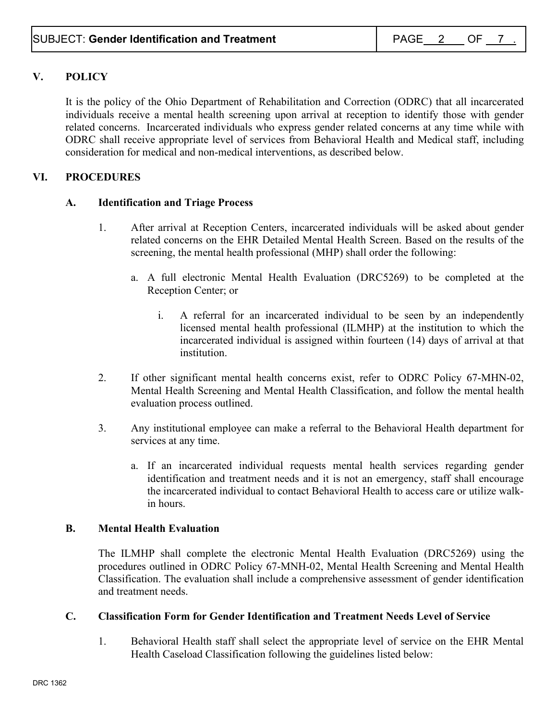# **V. POLICY**

It is the policy of the Ohio Department of Rehabilitation and Correction (ODRC) that all incarcerated individuals receive a mental health screening upon arrival at reception to identify those with gender related concerns. Incarcerated individuals who express gender related concerns at any time while with ODRC shall receive appropriate level of services from Behavioral Health and Medical staff, including consideration for medical and non-medical interventions, as described below.

#### **VI. PROCEDURES**

#### **A. Identification and Triage Process**

- 1. After arrival at Reception Centers, incarcerated individuals will be asked about gender related concerns on the EHR Detailed Mental Health Screen. Based on the results of the screening, the mental health professional (MHP) shall order the following:
	- a. A full electronic Mental Health Evaluation (DRC5269) to be completed at the Reception Center; or
		- i. A referral for an incarcerated individual to be seen by an independently licensed mental health professional (ILMHP) at the institution to which the incarcerated individual is assigned within fourteen (14) days of arrival at that institution.
- 2. If other significant mental health concerns exist, refer to ODRC Policy 67-MHN-02, Mental Health Screening and Mental Health Classification, and follow the mental health evaluation process outlined.
- 3. Any institutional employee can make a referral to the Behavioral Health department for services at any time.
	- a. If an incarcerated individual requests mental health services regarding gender identification and treatment needs and it is not an emergency, staff shall encourage the incarcerated individual to contact Behavioral Health to access care or utilize walkin hours.

#### **B. Mental Health Evaluation**

The ILMHP shall complete the electronic Mental Health Evaluation (DRC5269) using the procedures outlined in ODRC Policy 67-MNH-02, Mental Health Screening and Mental Health Classification. The evaluation shall include a comprehensive assessment of gender identification and treatment needs.

#### **C. Classification Form for Gender Identification and Treatment Needs Level of Service**

1. Behavioral Health staff shall select the appropriate level of service on the EHR Mental Health Caseload Classification following the guidelines listed below: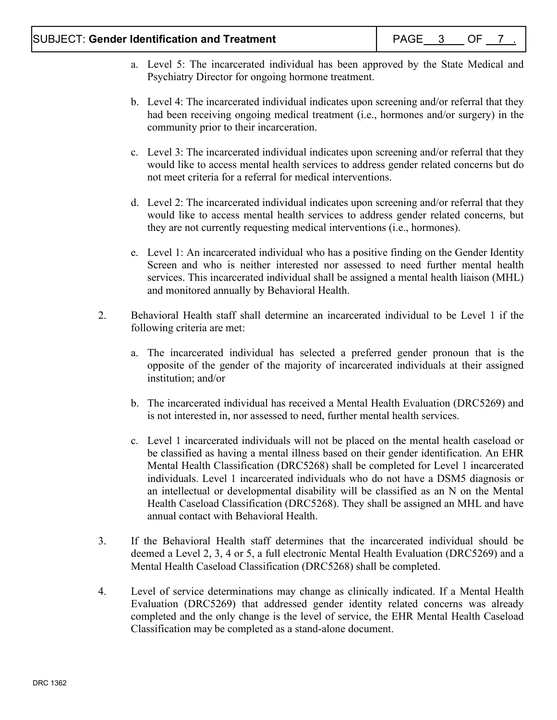## SUBJECT: Gender Identification and Treatment **PAGE 1** PAGE 3 OF 7

- a. Level 5: The incarcerated individual has been approved by the State Medical and Psychiatry Director for ongoing hormone treatment.
- b. Level 4: The incarcerated individual indicates upon screening and/or referral that they had been receiving ongoing medical treatment (i.e., hormones and/or surgery) in the community prior to their incarceration.
- c. Level 3: The incarcerated individual indicates upon screening and/or referral that they would like to access mental health services to address gender related concerns but do not meet criteria for a referral for medical interventions.
- d. Level 2: The incarcerated individual indicates upon screening and/or referral that they would like to access mental health services to address gender related concerns, but they are not currently requesting medical interventions (i.e., hormones).
- e. Level 1: An incarcerated individual who has a positive finding on the Gender Identity Screen and who is neither interested nor assessed to need further mental health services. This incarcerated individual shall be assigned a mental health liaison (MHL) and monitored annually by Behavioral Health.
- 2. Behavioral Health staff shall determine an incarcerated individual to be Level 1 if the following criteria are met:
	- a. The incarcerated individual has selected a preferred gender pronoun that is the opposite of the gender of the majority of incarcerated individuals at their assigned institution; and/or
	- b. The incarcerated individual has received a Mental Health Evaluation (DRC5269) and is not interested in, nor assessed to need, further mental health services.
	- c. Level 1 incarcerated individuals will not be placed on the mental health caseload or be classified as having a mental illness based on their gender identification. An EHR Mental Health Classification (DRC5268) shall be completed for Level 1 incarcerated individuals. Level 1 incarcerated individuals who do not have a DSM5 diagnosis or an intellectual or developmental disability will be classified as an N on the Mental Health Caseload Classification (DRC5268). They shall be assigned an MHL and have annual contact with Behavioral Health.
- 3. If the Behavioral Health staff determines that the incarcerated individual should be deemed a Level 2, 3, 4 or 5, a full electronic Mental Health Evaluation (DRC5269) and a Mental Health Caseload Classification (DRC5268) shall be completed.
- 4. Level of service determinations may change as clinically indicated. If a Mental Health Evaluation (DRC5269) that addressed gender identity related concerns was already completed and the only change is the level of service, the EHR Mental Health Caseload Classification may be completed as a stand-alone document.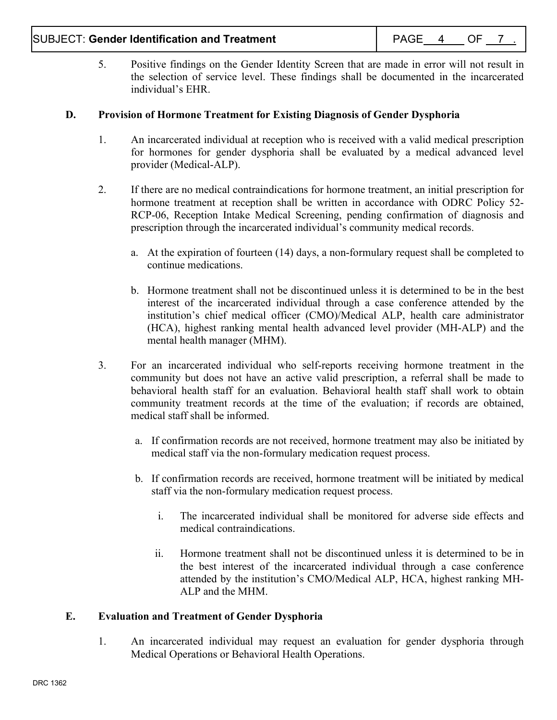5. Positive findings on the Gender Identity Screen that are made in error will not result in the selection of service level. These findings shall be documented in the incarcerated individual's EHR.

## **D. Provision of Hormone Treatment for Existing Diagnosis of Gender Dysphoria**

- 1. An incarcerated individual at reception who is received with a valid medical prescription for hormones for gender dysphoria shall be evaluated by a medical advanced level provider (Medical-ALP).
- 2. If there are no medical contraindications for hormone treatment, an initial prescription for hormone treatment at reception shall be written in accordance with ODRC Policy 52- RCP-06, Reception Intake Medical Screening, pending confirmation of diagnosis and prescription through the incarcerated individual's community medical records.
	- a. At the expiration of fourteen (14) days, a non-formulary request shall be completed to continue medications.
	- b. Hormone treatment shall not be discontinued unless it is determined to be in the best interest of the incarcerated individual through a case conference attended by the institution's chief medical officer (CMO)/Medical ALP, health care administrator (HCA), highest ranking mental health advanced level provider (MH-ALP) and the mental health manager (MHM).
- 3. For an incarcerated individual who self-reports receiving hormone treatment in the community but does not have an active valid prescription, a referral shall be made to behavioral health staff for an evaluation. Behavioral health staff shall work to obtain community treatment records at the time of the evaluation; if records are obtained, medical staff shall be informed.
	- a. If confirmation records are not received, hormone treatment may also be initiated by medical staff via the non-formulary medication request process.
	- b. If confirmation records are received, hormone treatment will be initiated by medical staff via the non-formulary medication request process.
		- i. The incarcerated individual shall be monitored for adverse side effects and medical contraindications.
		- ii. Hormone treatment shall not be discontinued unless it is determined to be in the best interest of the incarcerated individual through a case conference attended by the institution's CMO/Medical ALP, HCA, highest ranking MH-ALP and the MHM.

## **E. Evaluation and Treatment of Gender Dysphoria**

1. An incarcerated individual may request an evaluation for gender dysphoria through Medical Operations or Behavioral Health Operations.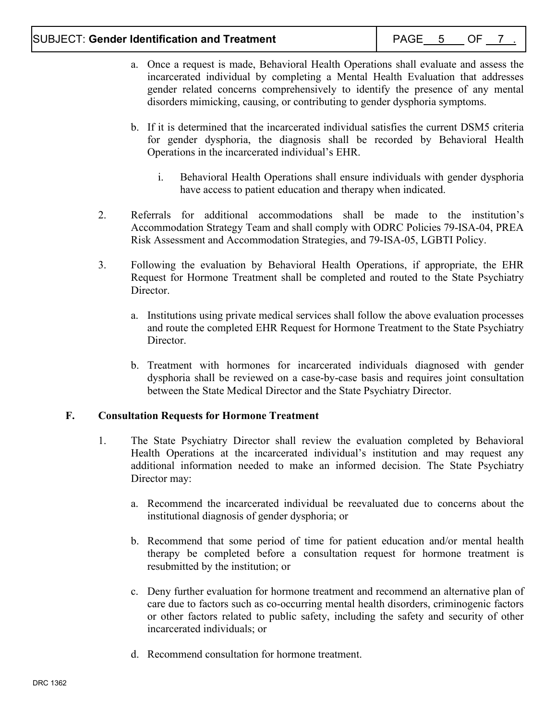- a. Once a request is made, Behavioral Health Operations shall evaluate and assess the incarcerated individual by completing a Mental Health Evaluation that addresses gender related concerns comprehensively to identify the presence of any mental disorders mimicking, causing, or contributing to gender dysphoria symptoms.
- b. If it is determined that the incarcerated individual satisfies the current DSM5 criteria for gender dysphoria, the diagnosis shall be recorded by Behavioral Health Operations in the incarcerated individual's EHR.
	- i. Behavioral Health Operations shall ensure individuals with gender dysphoria have access to patient education and therapy when indicated.
- 2. Referrals for additional accommodations shall be made to the institution's Accommodation Strategy Team and shall comply with ODRC Policies 79-ISA-04, PREA Risk Assessment and Accommodation Strategies, and 79-ISA-05, LGBTI Policy.
- 3. Following the evaluation by Behavioral Health Operations, if appropriate, the EHR Request for Hormone Treatment shall be completed and routed to the State Psychiatry Director.
	- a. Institutions using private medical services shall follow the above evaluation processes and route the completed EHR Request for Hormone Treatment to the State Psychiatry Director.
	- b. Treatment with hormones for incarcerated individuals diagnosed with gender dysphoria shall be reviewed on a case-by-case basis and requires joint consultation between the State Medical Director and the State Psychiatry Director.

## **F. Consultation Requests for Hormone Treatment**

- 1. The State Psychiatry Director shall review the evaluation completed by Behavioral Health Operations at the incarcerated individual's institution and may request any additional information needed to make an informed decision. The State Psychiatry Director may:
	- a. Recommend the incarcerated individual be reevaluated due to concerns about the institutional diagnosis of gender dysphoria; or
	- b. Recommend that some period of time for patient education and/or mental health therapy be completed before a consultation request for hormone treatment is resubmitted by the institution; or
	- c. Deny further evaluation for hormone treatment and recommend an alternative plan of care due to factors such as co-occurring mental health disorders, criminogenic factors or other factors related to public safety, including the safety and security of other incarcerated individuals; or
	- d. Recommend consultation for hormone treatment.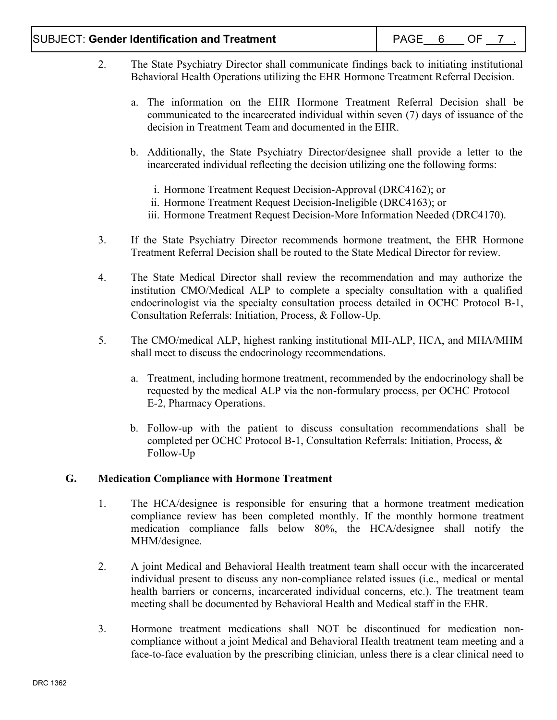## SUBJECT: Gender Identification and Treatment **PAGE** 6 OF 7

- 2. The State Psychiatry Director shall communicate findings back to initiating institutional Behavioral Health Operations utilizing the EHR Hormone Treatment Referral Decision.
	- a. The information on the EHR Hormone Treatment Referral Decision shall be communicated to the incarcerated individual within seven (7) days of issuance of the decision in Treatment Team and documented in the EHR.
	- b. Additionally, the State Psychiatry Director/designee shall provide a letter to the incarcerated individual reflecting the decision utilizing one the following forms:
		- i. Hormone Treatment Request Decision-Approval (DRC4162); or
		- ii. Hormone Treatment Request Decision-Ineligible (DRC4163); or
		- iii. Hormone Treatment Request Decision-More Information Needed (DRC4170).
- 3. If the State Psychiatry Director recommends hormone treatment, the EHR Hormone Treatment Referral Decision shall be routed to the State Medical Director for review.
- 4. The State Medical Director shall review the recommendation and may authorize the institution CMO/Medical ALP to complete a specialty consultation with a qualified endocrinologist via the specialty consultation process detailed in OCHC Protocol B-1, Consultation Referrals: Initiation, Process, & Follow-Up.
- 5. The CMO/medical ALP, highest ranking institutional MH-ALP, HCA, and MHA/MHM shall meet to discuss the endocrinology recommendations.
	- a. Treatment, including hormone treatment, recommended by the endocrinology shall be requested by the medical ALP via the non-formulary process, per OCHC Protocol E-2, Pharmacy Operations.
	- b. Follow-up with the patient to discuss consultation recommendations shall be completed per OCHC Protocol B-1, Consultation Referrals: Initiation, Process, & Follow-Up

## **G. Medication Compliance with Hormone Treatment**

- 1. The HCA/designee is responsible for ensuring that a hormone treatment medication compliance review has been completed monthly. If the monthly hormone treatment medication compliance falls below 80%, the HCA/designee shall notify the MHM/designee.
- 2. A joint Medical and Behavioral Health treatment team shall occur with the incarcerated individual present to discuss any non-compliance related issues (i.e., medical or mental health barriers or concerns, incarcerated individual concerns, etc.). The treatment team meeting shall be documented by Behavioral Health and Medical staff in the EHR.
- 3. Hormone treatment medications shall NOT be discontinued for medication noncompliance without a joint Medical and Behavioral Health treatment team meeting and a face-to-face evaluation by the prescribing clinician, unless there is a clear clinical need to